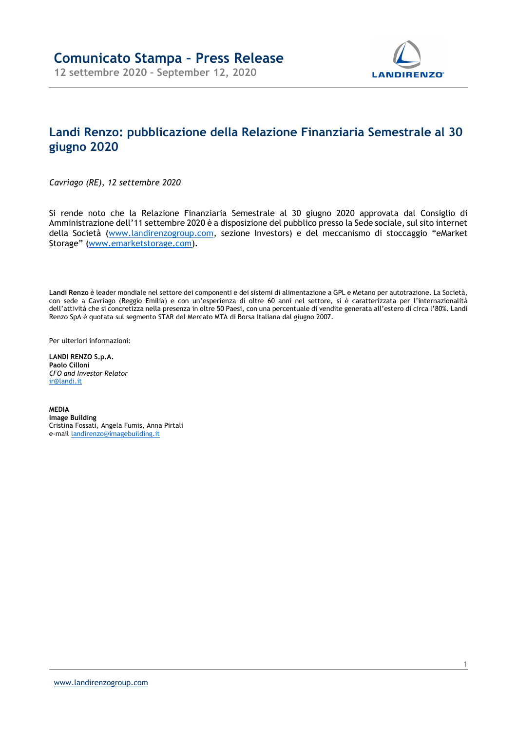

## Landi Renzo: pubblicazione della Relazione Finanziaria Semestrale al 30 giugno 2020

Cavriago (RE), 12 settembre 2020

Si rende noto che la Relazione Finanziaria Semestrale al 30 giugno 2020 approvata dal Consiglio di Amministrazione dell'11 settembre 2020 è a disposizione del pubblico presso la Sede sociale, sul sito internet della Società (www.landirenzogroup.com, sezione Investors) e del meccanismo di stoccaggio "eMarket Storage" (www.emarketstorage.com).

Landi Renzo è leader mondiale nel settore dei componenti e dei sistemi di alimentazione a GPL e Metano per autotrazione. La Società, con sede a Cavriago (Reggio Emilia) e con un'esperienza di oltre 60 anni nel settore, si è caratterizzata per l'internazionalità dell'attività che si concretizza nella presenza in oltre 50 Paesi, con una percentuale di vendite generata all'estero di circa l'80%. Landi Renzo SpA è quotata sul segmento STAR del Mercato MTA di Borsa Italiana dal giugno 2007.

Per ulteriori informazioni:

LANDI RENZO S.p.A. Paolo Cilloni CFO and Investor Relator ir@landi.it

MEDIA Image Building Cristina Fossati, Angela Fumis, Anna Pirtali e-mail landirenzo@imagebuilding.it